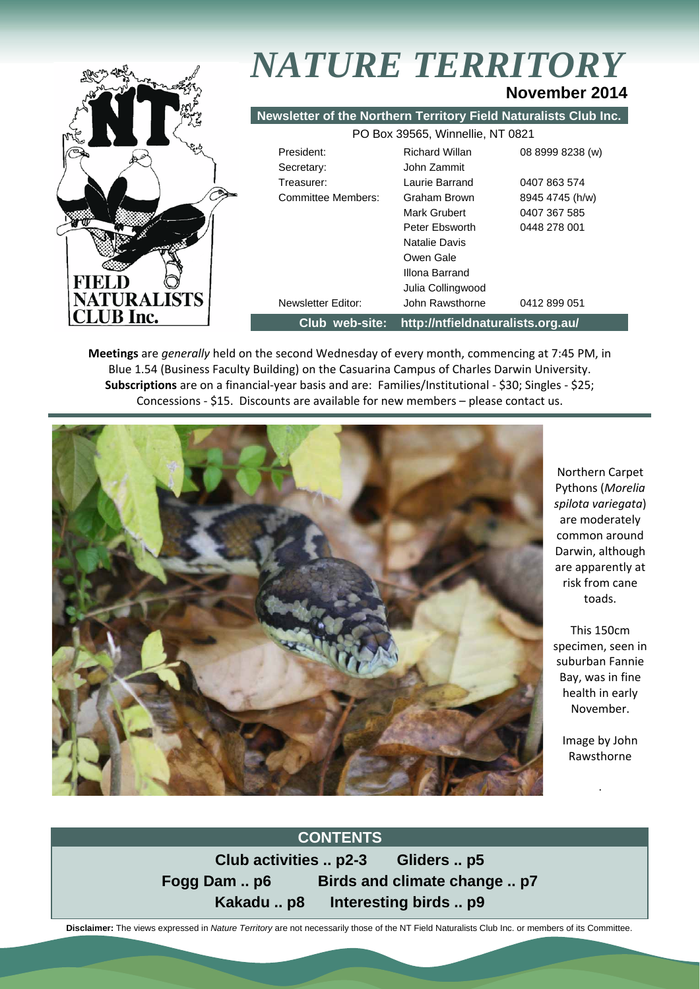

**Meetings** are *generally* held on the second Wednesday of every month, commencing at 7:45 PM, in Blue 1.54 (Business Faculty Building) on the Casuarina Campus of Charles Darwin University. **Subscriptions** are on a financial‐year basis and are: Families/Institutional ‐ \$30; Singles ‐ \$25; Concessions ‐ \$15. Discounts are available for new members – please contact us.



Northern Carpet Pythons (*Morelia spilota variegata*) are moderately common around Darwin, although are apparently at risk from cane toads.

This 150cm specimen, seen in suburban Fannie Bay, was in fine health in early November.

> Image by John Rawsthorne

> > .

#### **CONTENTS**

**Club activities .. p2-3 Gliders .. p5 Fogg Dam .. p6 Birds and climate change .. p7 Kakadu .. p8 Interesting birds .. p9** 

 **Disclaimer:** The views expressed in *Nature Territory* are not necessarily those of the NT Field Naturalists Club Inc. or members of its Committee.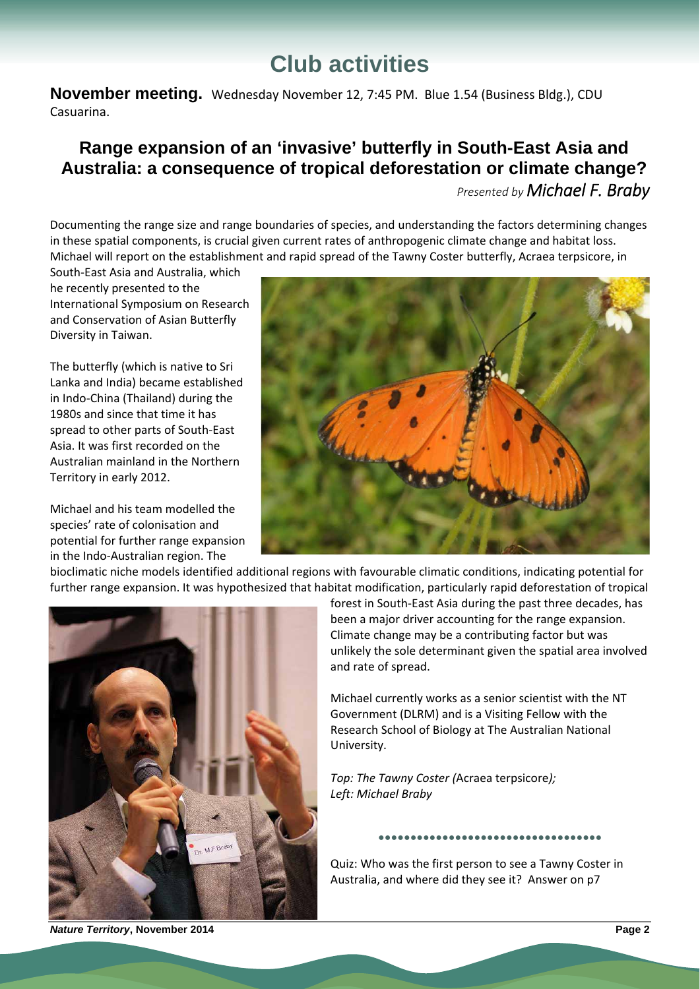# **Club activities**

**November meeting.** Wednesday November 12, 7:45 PM. Blue 1.54 (Business Bldg.), CDU Casuarina.

## **Range expansion of an 'invasive' butterfly in South-East Asia and Australia: a consequence of tropical deforestation or climate change?**

*Presented by Michael F. Braby*

Documenting the range size and range boundaries of species, and understanding the factors determining changes in these spatial components, is crucial given current rates of anthropogenic climate change and habitat loss. Michael will report on the establishment and rapid spread of the Tawny Coster butterfly, Acraea terpsicore, in

South‐East Asia and Australia, which he recently presented to the International Symposium on Research and Conservation of Asian Butterfly Diversity in Taiwan.

The butterfly (which is native to Sri Lanka and India) became established in Indo‐China (Thailand) during the 1980s and since that time it has spread to other parts of South‐East Asia. It was first recorded on the Australian mainland in the Northern Territory in early 2012.

Michael and his team modelled the species' rate of colonisation and potential for further range expansion in the Indo‐Australian region. The



bioclimatic niche models identified additional regions with favourable climatic conditions, indicating potential for further range expansion. It was hypothesized that habitat modification, particularly rapid deforestation of tropical



forest in South‐East Asia during the past three decades, has been a major driver accounting for the range expansion. Climate change may be a contributing factor but was unlikely the sole determinant given the spatial area involved and rate of spread.

Michael currently works as a senior scientist with the NT Government (DLRM) and is a Visiting Fellow with the Research School of Biology at The Australian National University.

*Top: The Tawny Coster (*Acraea terpsicore*); Left: Michael Braby*

Quiz: Who was the first person to see a Tawny Coster in Australia, and where did they see it? Answer on p7

**●●●●●●●●●●●●●●●●●●●●●●●●●●●●●●●●●●●**

*Nature Territory***, November 2014****Page 2**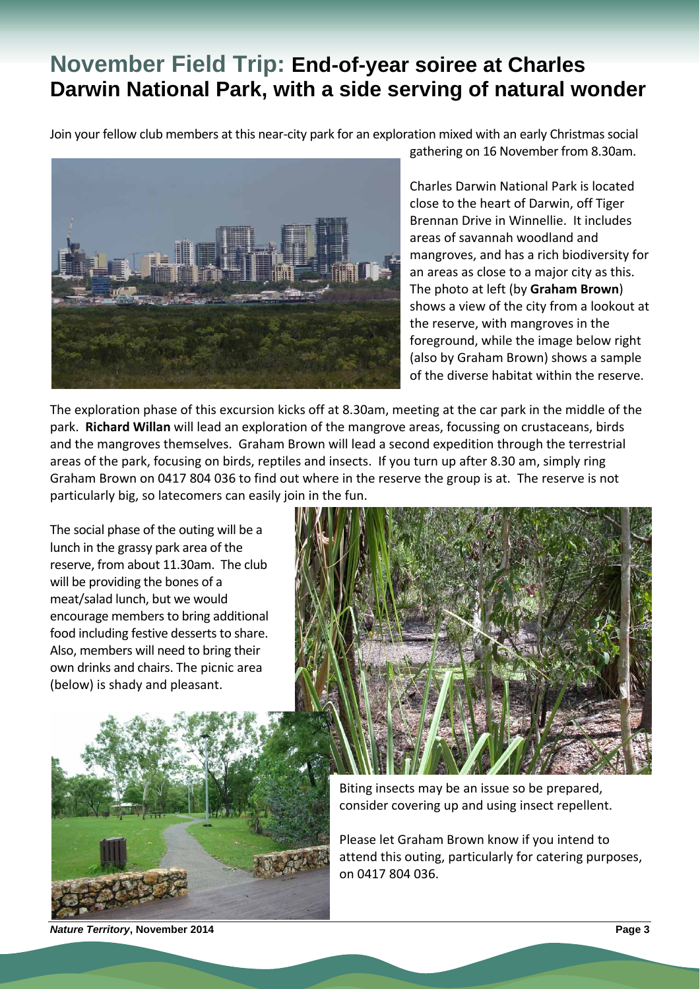# **November Field Trip: End-of-year soiree at Charles Darwin National Park, with a side serving of natural wonder**

Join your fellow club members at this near-city park for an exploration mixed with an early Christmas social



gathering on 16 November from 8.30am.

Charles Darwin National Park is located close to the heart of Darwin, off Tiger Brennan Drive in Winnellie. It includes areas of savannah woodland and mangroves, and has a rich biodiversity for an areas as close to a major city as this. The photo at left (by **Graham Brown**) shows a view of the city from a lookout at the reserve, with mangroves in the foreground, while the image below right (also by Graham Brown) shows a sample of the diverse habitat within the reserve.

The exploration phase of this excursion kicks off at 8.30am, meeting at the car park in the middle of the park. **Richard Willan** will lead an exploration of the mangrove areas, focussing on crustaceans, birds and the mangroves themselves. Graham Brown will lead a second expedition through the terrestrial areas of the park, focusing on birds, reptiles and insects. If you turn up after 8.30 am, simply ring Graham Brown on 0417 804 036 to find out where in the reserve the group is at. The reserve is not particularly big, so latecomers can easily join in the fun.

The social phase of the outing will be a lunch in the grassy park area of the reserve, from about 11.30am. The club will be providing the bones of a meat/salad lunch, but we would encourage members to bring additional food including festive desserts to share. Also, members will need to bring their own drinks and chairs. The picnic area (below) is shady and pleasant.





Biting insects may be an issue so be prepared, consider covering up and using insect repellent.

Please let Graham Brown know if you intend to attend this outing, particularly for catering purposes, on 0417 804 036.

*Nature Territory***, November 2014****Page 3**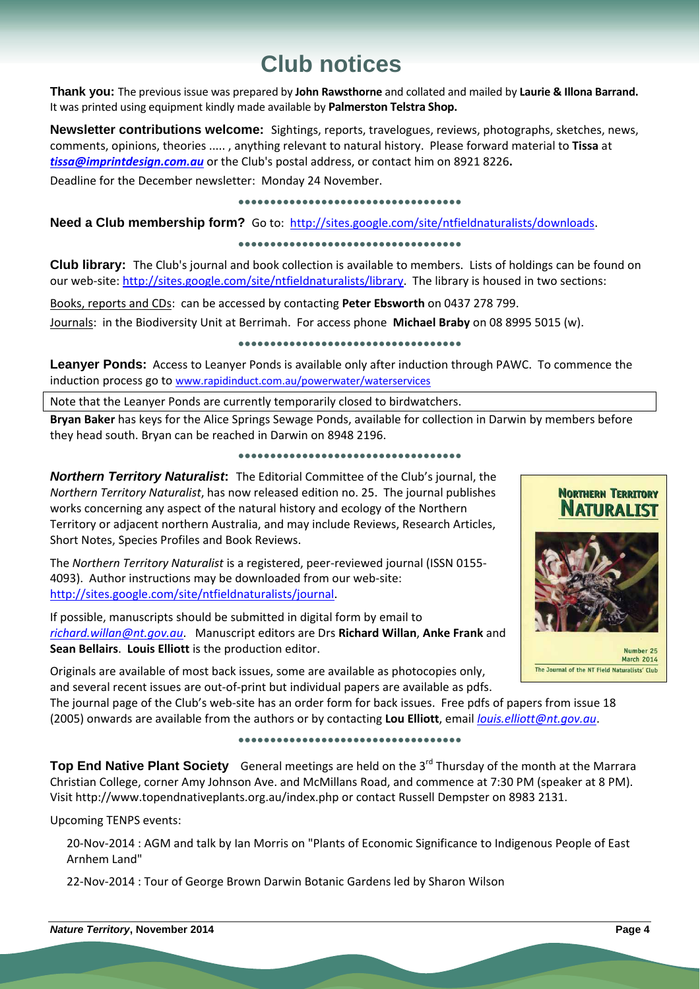# **Club notices**

**Thank you:** The previous issue was prepared by **John Rawsthorne** and collated and mailed by **Laurie & Illona Barrand.**  It was printed using equipment kindly made available by **Palmerston Telstra Shop.**

**Newsletter contributions welcome:** Sightings, reports, travelogues, reviews, photographs, sketches, news, comments, opinions, theories ..... , anything relevant to natural history. Please forward material to **Tissa** at *tissa@imprintdesign.com.au* or the Club's postal address, or contact him on 8921 8226**.** 

Deadline for the December newsletter: Monday 24 November.

#### **●●●●●●●●●●●●●●●●●●●●●●●●●●●●●●●●●●●**

Need a Club membership form? Go to: http://sites.google.com/site/ntfieldnaturalists/downloads.

#### **●●●●●●●●●●●●●●●●●●●●●●●●●●●●●●●●●●●**

**Club library:** The Club's journal and book collection is available to members. Lists of holdings can be found on our web-site: http://sites.google.com/site/ntfieldnaturalists/library. The library is housed in two sections:

Books, reports and CDs: can be accessed by contacting **Peter Ebsworth** on 0437 278 799.

Journals: in the Biodiversity Unit at Berrimah. For access phone **Michael Braby** on 08 8995 5015 (w).

#### **●●●●●●●●●●●●●●●●●●●●●●●●●●●●●●●●●●●**

**Leanyer Ponds:** Access to Leanyer Ponds is available only after induction through PAWC. To commence the induction process go to www.rapidinduct.com.au/powerwater/waterservices

Note that the Leanyer Ponds are currently temporarily closed to birdwatchers.

**Bryan Baker** has keys for the Alice Springs Sewage Ponds, available for collection in Darwin by members before they head south. Bryan can be reached in Darwin on 8948 2196.

#### **●●●●●●●●●●●●●●●●●●●●●●●●●●●●●●●●●●●**

*Northern Territory Naturalist***:** The Editorial Committee of the Club's journal, the *Northern Territory Naturalist*, has now released edition no. 25. The journal publishes works concerning any aspect of the natural history and ecology of the Northern Territory or adjacent northern Australia, and may include Reviews, Research Articles, Short Notes, Species Profiles and Book Reviews.

The *Northern Territory Naturalist* is a registered, peer‐reviewed journal (ISSN 0155‐ 4093). Author instructions may be downloaded from our web‐site: http://sites.google.com/site/ntfieldnaturalists/journal.

If possible, manuscripts should be submitted in digital form by email to *richard.willan@nt.gov.au*. Manuscript editors are Drs **Richard Willan**, **Anke Frank** and **Sean Bellairs**. **Louis Elliott** is the production editor.

Originals are available of most back issues, some are available as photocopies only, and several recent issues are out‐of‐print but individual papers are available as pdfs.

The journal page of the Club's web-site has an order form for back issues. Free pdfs of papers from issue 18 (2005) onwards are available from the authors or by contacting **Lou Elliott**, email *louis.elliott@nt.gov.au*.

#### **●●●●●●●●●●●●●●●●●●●●●●●●●●●●●●●●●●●**

**Top End Native Plant Society** General meetings are held on the 3<sup>rd</sup> Thursday of the month at the Marrara Christian College, corner Amy Johnson Ave. and McMillans Road, and commence at 7:30 PM (speaker at 8 PM). Visit http://www.topendnativeplants.org.au/index.php or contact Russell Dempster on 8983 2131.

Upcoming TENPS events:

20‐Nov‐2014 : AGM and talk by Ian Morris on "Plants of Economic Significance to Indigenous People of East Arnhem Land"

<sup>22</sup>‐Nov‐<sup>2014</sup> : Tour of George Brown Darwin Botanic Gardens led by Sharon Wilson



**NORTHERN TERRITORY** 

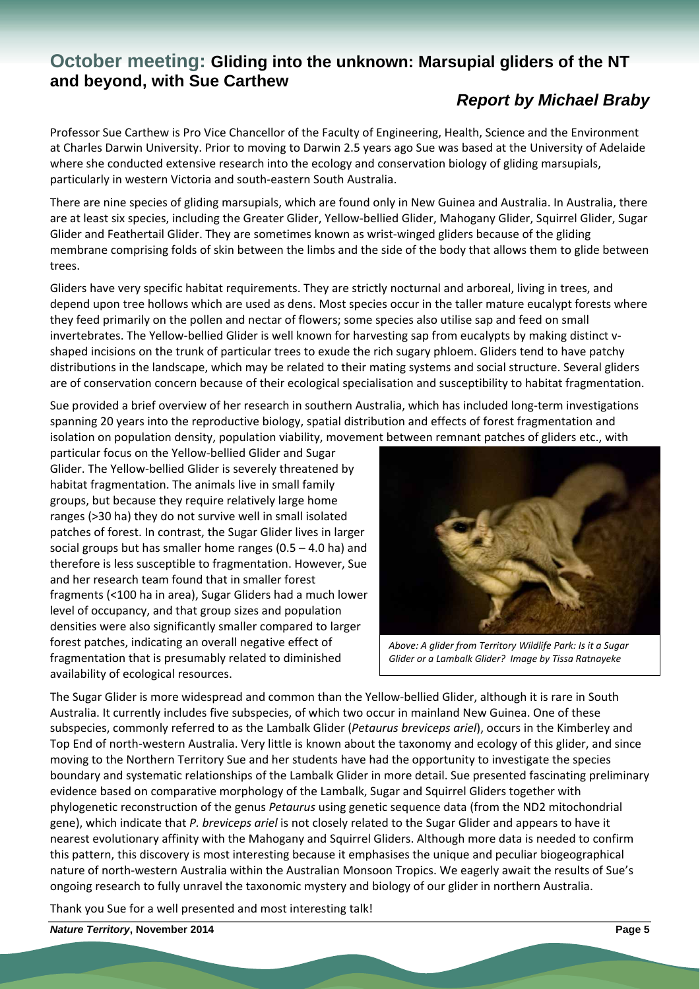#### **October meeting: Gliding into the unknown: Marsupial gliders of the NT and beyond, with Sue Carthew**

### *Report by Michael Braby*

Professor Sue Carthew is Pro Vice Chancellor of the Faculty of Engineering, Health, Science and the Environment at Charles Darwin University. Prior to moving to Darwin 2.5 years ago Sue was based at the University of Adelaide where she conducted extensive research into the ecology and conservation biology of gliding marsupials, particularly in western Victoria and south‐eastern South Australia.

There are nine species of gliding marsupials, which are found only in New Guinea and Australia. In Australia, there are at least six species, including the Greater Glider, Yellow-bellied Glider, Mahogany Glider, Squirrel Glider, Sugar Glider and Feathertail Glider. They are sometimes known as wrist‐winged gliders because of the gliding membrane comprising folds of skin between the limbs and the side of the body that allows them to glide between trees.

Gliders have very specific habitat requirements. They are strictly nocturnal and arboreal, living in trees, and depend upon tree hollows which are used as dens. Most species occur in the taller mature eucalypt forests where they feed primarily on the pollen and nectar of flowers; some species also utilise sap and feed on small invertebrates. The Yellow-bellied Glider is well known for harvesting sap from eucalypts by making distinct vshaped incisions on the trunk of particular trees to exude the rich sugary phloem. Gliders tend to have patchy distributions in the landscape, which may be related to their mating systems and social structure. Several gliders are of conservation concern because of their ecological specialisation and susceptibility to habitat fragmentation.

Sue provided a brief overview of her research in southern Australia, which has included long-term investigations spanning 20 years into the reproductive biology, spatial distribution and effects of forest fragmentation and isolation on population density, population viability, movement between remnant patches of gliders etc., with

particular focus on the Yellow‐bellied Glider and Sugar Glider. The Yellow‐bellied Glider is severely threatened by habitat fragmentation. The animals live in small family groups, but because they require relatively large home ranges (>30 ha) they do not survive well in small isolated patches of forest. In contrast, the Sugar Glider lives in larger social groups but has smaller home ranges (0.5 – 4.0 ha) and therefore is less susceptible to fragmentation. However, Sue and her research team found that in smaller forest fragments (<100 ha in area), Sugar Gliders had a much lower level of occupancy, and that group sizes and population densities were also significantly smaller compared to larger forest patches, indicating an overall negative effect of fragmentation that is presumably related to diminished availability of ecological resources.



*Above: A glider from Territory Wildlife Park: Is it a Sugar Glider or a Lambalk Glider? Image by Tissa Ratnayeke*

The Sugar Glider is more widespread and common than the Yellow‐bellied Glider, although it is rare in South Australia. It currently includes five subspecies, of which two occur in mainland New Guinea. One of these subspecies, commonly referred to as the Lambalk Glider (*Petaurus breviceps ariel*), occurs in the Kimberley and Top End of north-western Australia. Very little is known about the taxonomy and ecology of this glider, and since moving to the Northern Territory Sue and her students have had the opportunity to investigate the species boundary and systematic relationships of the Lambalk Glider in more detail. Sue presented fascinating preliminary evidence based on comparative morphology of the Lambalk, Sugar and Squirrel Gliders together with phylogenetic reconstruction of the genus *Petaurus* using genetic sequence data (from the ND2 mitochondrial gene), which indicate that *P. breviceps ariel* is not closely related to the Sugar Glider and appears to have it nearest evolutionary affinity with the Mahogany and Squirrel Gliders. Although more data is needed to confirm this pattern, this discovery is most interesting because it emphasises the unique and peculiar biogeographical nature of north‐western Australia within the Australian Monsoon Tropics. We eagerly await the results of Sue's ongoing research to fully unravel the taxonomic mystery and biology of our glider in northern Australia.

Thank you Sue for a well presented and most interesting talk!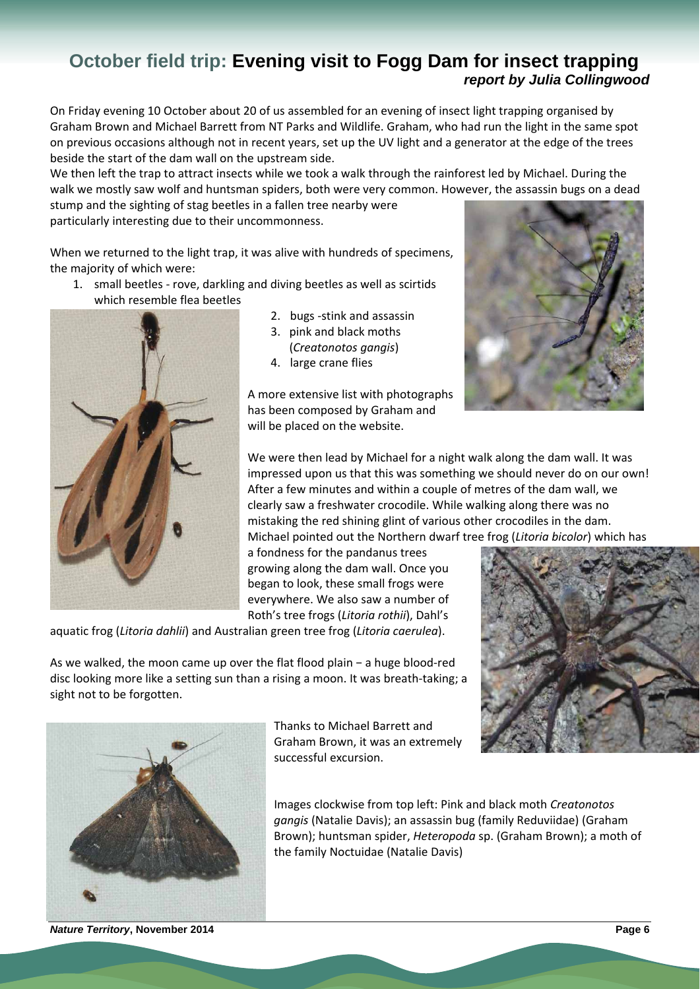## **October field trip: Evening visit to Fogg Dam for insect trapping**  *report by Julia Collingwood*

On Friday evening 10 October about 20 of us assembled for an evening of insect light trapping organised by Graham Brown and Michael Barrett from NT Parks and Wildlife. Graham, who had run the light in the same spot on previous occasions although not in recent years, set up the UV light and a generator at the edge of the trees beside the start of the dam wall on the upstream side.

We then left the trap to attract insects while we took a walk through the rainforest led by Michael. During the walk we mostly saw wolf and huntsman spiders, both were very common. However, the assassin bugs on a dead

stump and the sighting of stag beetles in a fallen tree nearby were particularly interesting due to their uncommonness.

When we returned to the light trap, it was alive with hundreds of specimens, the majority of which were:

1. small beetles ‐ rove, darkling and diving beetles as well as scirtids which resemble flea beetles



- 2. bugs ‐stink and assassin
- 3. pink and black moths (*Creatonotos gangis*)
- 4. large crane flies

A more extensive list with photographs has been composed by Graham and will be placed on the website.



We were then lead by Michael for a night walk along the dam wall. It was impressed upon us that this was something we should never do on our own! After a few minutes and within a couple of metres of the dam wall, we clearly saw a freshwater crocodile. While walking along there was no mistaking the red shining glint of various other crocodiles in the dam. Michael pointed out the Northern dwarf tree frog (*Litoria bicolor*) which has

a fondness for the pandanus trees growing along the dam wall. Once you began to look, these small frogs were everywhere. We also saw a number of Roth's tree frogs (*Litoria rothii*), Dahl's

aquatic frog (*Litoria dahlii*) and Australian green tree frog (*Litoria caerulea*).



As we walked, the moon came up over the flat flood plain − a huge blood‐red disc looking more like a setting sun than a rising a moon. It was breath‐taking; a sight not to be forgotten.



Thanks to Michael Barrett and Graham Brown, it was an extremely successful excursion.

Images clockwise from top left: Pink and black moth *Creatonotos gangis* (Natalie Davis); an assassin bug (family Reduviidae) (Graham Brown); huntsman spider, *Heteropoda* sp. (Graham Brown); a moth of the family Noctuidae (Natalie Davis)

*Nature Territory***, November 2014****Page 6**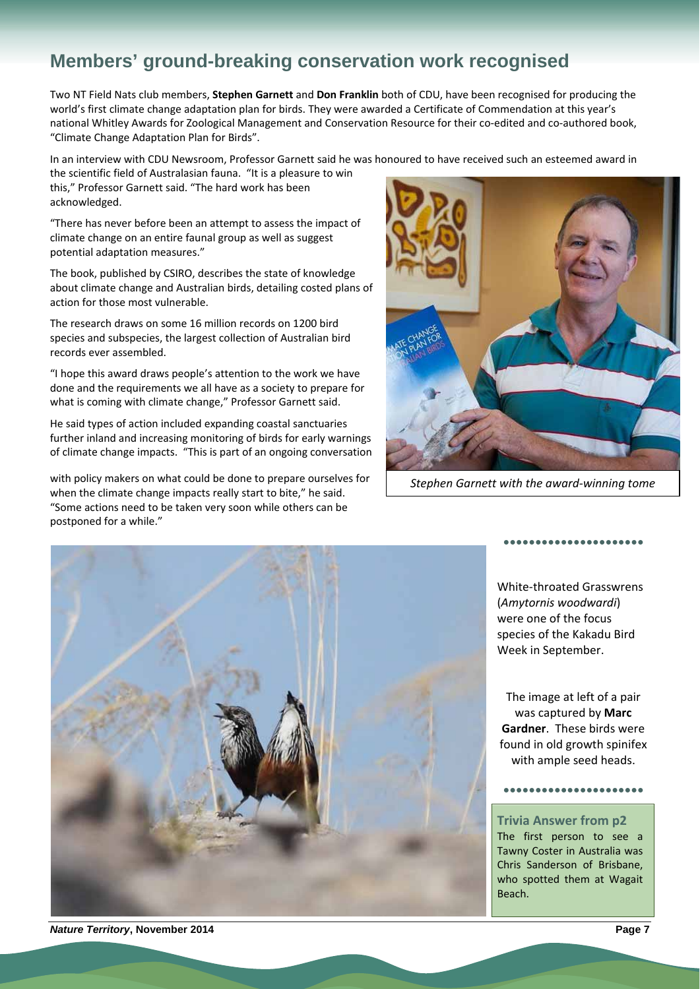# **Members' ground-breaking conservation work recognised**

Two NT Field Nats club members, **Stephen Garnett** and **Don Franklin** both of CDU, have been recognised for producing the world's first climate change adaptation plan for birds. They were awarded a Certificate of Commendation at this year's national Whitley Awards for Zoological Management and Conservation Resource for their co-edited and co-authored book, "Climate Change Adaptation Plan for Birds".

In an interview with CDU Newsroom, Professor Garnett said he was honoured to have received such an esteemed award in

the scientific field of Australasian fauna. "It is a pleasure to win this," Professor Garnett said. "The hard work has been acknowledged.

"There has never before been an attempt to assess the impact of climate change on an entire faunal group as well as suggest potential adaptation measures."

The book, published by CSIRO, describes the state of knowledge about climate change and Australian birds, detailing costed plans of action for those most vulnerable.

The research draws on some 16 million records on 1200 bird species and subspecies, the largest collection of Australian bird records ever assembled.

"I hope this award draws people's attention to the work we have done and the requirements we all have as a society to prepare for what is coming with climate change," Professor Garnett said.

He said types of action included expanding coastal sanctuaries further inland and increasing monitoring of birds for early warnings of climate change impacts. "This is part of an ongoing conversation

with policy makers on what could be done to prepare ourselves for when the climate change impacts really start to bite," he said. "Some actions need to be taken very soon while others can be postponed for a while."



*Stephen Garnett with the award‐winning tome*



White‐throated Grasswrens (*Amytornis woodwardi*) were one of the focus species of the Kakadu Bird Week in September.

**●●●●●●●●●●●●●●●●●●●●●●**

The image at left of a pair was captured by **Marc Gardner**. These birds were found in old growth spinifex with ample seed heads.

**●●●●●●●●●●●●●●●●●●●●●●**

**Trivia Answer from p2** The first person to see a Tawny Coster in Australia was Chris Sanderson of Brisbane, who spotted them at Wagait Beach.

*Nature Territory***, November 2014****Page 7**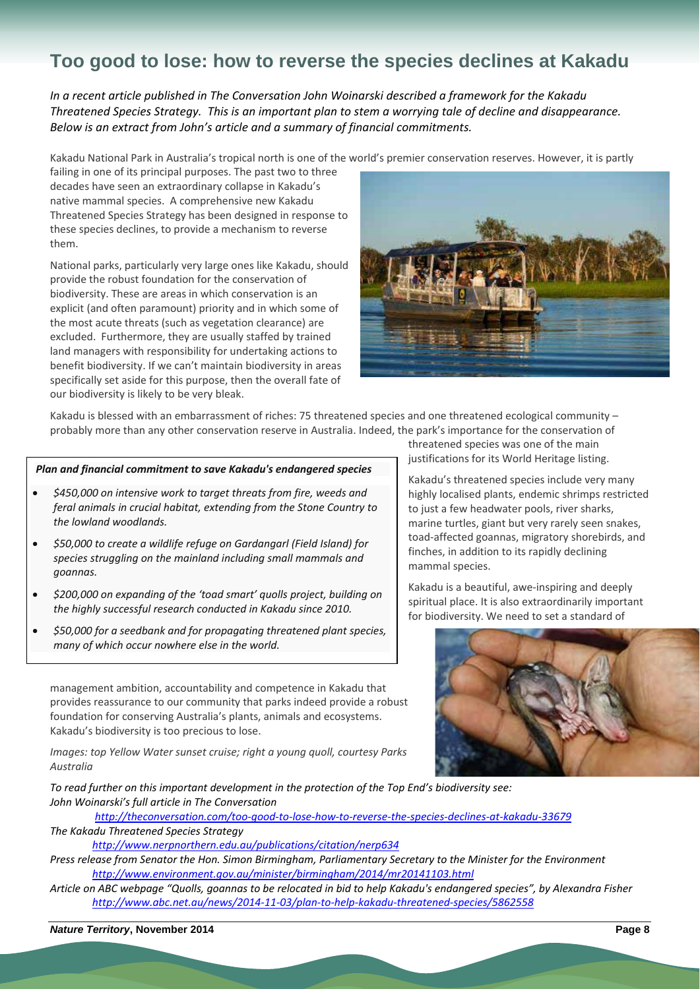# **Too good to lose: how to reverse the species declines at Kakadu**

*In a recent article published in The Conversation John Woinarski described a framework for the Kakadu* Threatened Species Strategy. This is an important plan to stem a worrying tale of decline and disappearance. *Below is an extract from John's article and a summary of financial commitments.*

Kakadu National Park in Australia's tropical north is one of the world's premier conservation reserves. However, it is partly

failing in one of its principal purposes. The past two to three decades have seen an extraordinary collapse in Kakadu's native mammal species. A comprehensive new Kakadu Threatened Species Strategy has been designed in response to these species declines, to provide a mechanism to reverse them.

National parks, particularly very large ones like Kakadu, should provide the robust foundation for the conservation of biodiversity. These are areas in which conservation is an explicit (and often paramount) priority and in which some of the most acute threats (such as vegetation clearance) are excluded. Furthermore, they are usually staffed by trained land managers with responsibility for undertaking actions to benefit biodiversity. If we can't maintain biodiversity in areas specifically set aside for this purpose, then the overall fate of our biodiversity is likely to be very bleak.



Kakadu is blessed with an embarrassment of riches: 75 threatened species and one threatened ecological community – probably more than any other conservation reserve in Australia. Indeed, the park's importance for the conservation of

#### *Plan and financial commitment to save Kakadu's endangered species*

- *\$450,000 on intensive work to target threats from fire, weeds and feral animals in crucial habitat, extending from the Stone Country to the lowland woodlands.*
- *\$50,000 to create a wildlife refuge on Gardangarl (Field Island) for species struggling on the mainland including small mammals and goannas.*
- *\$200,000 on expanding of the 'toad smart' quolls project, building on the highly successful research conducted in Kakadu since 2010.*
- *\$50,000 for a seedbank and for propagating threatened plant species, many of which occur nowhere else in the world.*

management ambition, accountability and competence in Kakadu that provides reassurance to our community that parks indeed provide a robust foundation for conserving Australia's plants, animals and ecosystems. Kakadu's biodiversity is too precious to lose.

*Images: top Yellow Water sunset cruise; right a young quoll, courtesy Parks Australia*

threatened species was one of the main justifications for its World Heritage listing.

Kakadu's threatened species include very many highly localised plants, endemic shrimps restricted to just a few headwater pools, river sharks, marine turtles, giant but very rarely seen snakes, toad‐affected goannas, migratory shorebirds, and finches, in addition to its rapidly declining mammal species.

Kakadu is a beautiful, awe‐inspiring and deeply spiritual place. It is also extraordinarily important for biodiversity. We need to set a standard of



*To read further on this important development in the protection of the Top End's biodiversity see: John Woinarski's full article in The Conversation*

http://theconversation.com/too-good-to-lose-how-to-reverse-the-species-declines-at-kakadu-33679 *The Kakadu Threatened Species Strategy* 

*http://www.nerpnorthern.edu.au/publications/citation/nerp634* 

Press release from Senator the Hon. Simon Birmingham, Parliamentary Secretary to the Minister for the Environment *http://www.environment.gov.au/minister/birmingham/2014/mr20141103.html*

Article on ABC webpage "Quolls, goannas to be relocated in bid to help Kakadu's endangered species", by Alexandra Fisher *http://www.abc.net.au/news/2014‐11‐03/plan‐to‐help‐kakadu‐threatened‐species/5862558*